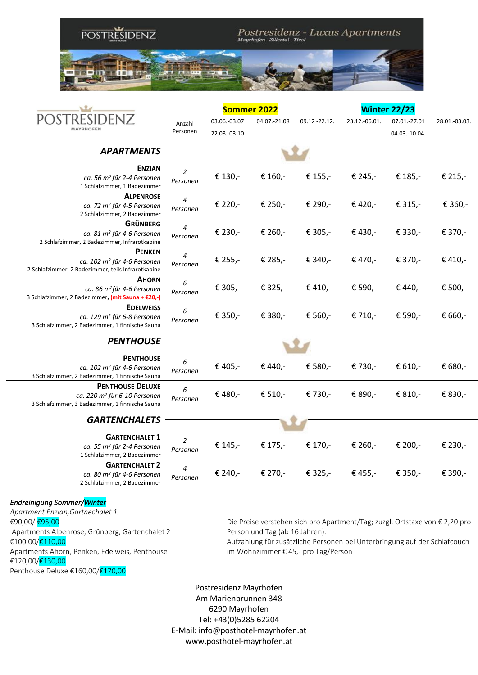

|                                                                                                                        | <b>Sommer 2022</b>           |              |              |                | <b>Winter 22/23</b> |               |               |  |
|------------------------------------------------------------------------------------------------------------------------|------------------------------|--------------|--------------|----------------|---------------------|---------------|---------------|--|
| MAYRHOFFN                                                                                                              | Anzahl                       | 03.06.-03.07 | 04.07.-21.08 | 09.12 - 22.12. | 23.12.-06.01.       | 07.01.-27.01  | 28.01.-03.03. |  |
|                                                                                                                        | Personen                     | 22.08.-03.10 |              |                |                     | 04.03.-10.04. |               |  |
|                                                                                                                        |                              |              |              |                |                     |               |               |  |
| <b>APARTMENTS</b>                                                                                                      |                              |              |              |                |                     |               |               |  |
| <b>ENZIAN</b><br>ca. 56 m <sup>2</sup> für 2-4 Personen<br>1 Schlafzimmer, 1 Badezimmer                                | 2<br>Personen                | € 130,-      | € 160,-      | € 155,-        | € 245,-             | € 185,-       | € 215,-       |  |
| <b>ALPENROSE</b><br>ca. 72 m <sup>2</sup> für 4-5 Personen<br>2 Schlafzimmer, 2 Badezimmer                             | $\boldsymbol{4}$<br>Personen | € 220,-      | € 250,-      | € 290,-        | € 420,-             | € 315,-       | € 360,-       |  |
| <b>GRÜNBERG</b><br>ca. 81 m <sup>2</sup> für 4-6 Personen<br>2 Schlafzimmer, 2 Badezimmer, Infrarotkabine              | 4<br>Personen                | € 230,-      | € 260,-      | € 305,-        | € 430,-             | € 330,-       | € 370,-       |  |
| <b>PENKEN</b><br>ca. 102 m <sup>2</sup> für 4-6 Personen<br>2 Schlafzimmer, 2 Badezimmer, teils Infrarotkabine         | $\overline{4}$<br>Personen   | € 255,-      | € 285,-      | € 340,-        | € 470,-             | € 370,-       | € 410,-       |  |
| <b>AHORN</b><br>ca. 86 m <sup>2</sup> für 4-6 Personen<br>3 Schlafzimmer, 2 Badezimmer, (mit Sauna + €20,-)            | 6<br>Personen                | € 305,-      | € 325,-      | € 410,-        | € 590,-             | € 440,-       | € 500,-       |  |
| <b>EDELWEISS</b><br>ca. 129 m <sup>2</sup> für 6-8 Personen<br>3 Schlafzimmer, 2 Badezimmer, 1 finnische Sauna         | 6<br>Personen                | € 350,-      | € 380,-      | € 560,-        | € 710,-             | € 590,-       | € 660,-       |  |
| <b>PENTHOUSE</b>                                                                                                       |                              |              |              |                |                     |               |               |  |
|                                                                                                                        |                              |              |              |                |                     |               |               |  |
| <b>PENTHOUSE</b><br>ca. 102 m <sup>2</sup> für 4-6 Personen<br>3 Schlafzimmer, 2 Badezimmer, 1 finnische Sauna         | 6<br>Personen                | € 405,-      | € 440,-      | € 580,-        | € 730,-             | € 610,-       | € 680,-       |  |
| <b>PENTHOUSE DELUXE</b><br>ca. 220 m <sup>2</sup> für 6-10 Personen<br>3 Schlafzimmer, 3 Badezimmer, 1 finnische Sauna | 6<br>Personen                | € 480,-      | € 510,-      | € 730,-        | € 890,-             | € 810,-       | € 830,-       |  |
| <b>GARTENCHALETS</b>                                                                                                   |                              |              |              |                |                     |               |               |  |
| <b>GARTENCHALET 1</b><br>ca. 55 m <sup>2</sup> für 2-4 Personen<br>1 Schlafzimmer, 2 Badezimmer                        | 2<br>Personen                | € 145,-      | € 175,-      | € 170,-        | € 260,-             | € 200,-       | € 230,-       |  |
| <b>GARTENCHALET 2</b><br>ca. 80 m <sup>2</sup> für 4-6 Personen<br>2 Schlafzimmer, 2 Badezimmer                        | 4<br>Personen                | € 240,-      | € 270,-      | € 325,-        | € 455,-             | € 350,-       | € 390,-       |  |

## *Endreinigung Sommer/Winter*

*Apartment Enzian,Gartnechalet 1*  €90,00/ €95,00 Apartments Alpenrose, Grünberg, Gartenchalet 2 €100,00/€110,00 Apartments Ahorn, Penken, Edelweis, Penthouse €120,00/€130,00 Penthouse Deluxe €160,00/€170,00

Die Preise verstehen sich pro Apartment/Tag; zuzgl. Ortstaxe von € 2,20 pro Person und Tag (ab 16 Jahren).

Aufzahlung für zusätzliche Personen bei Unterbringung auf der Schlafcouch im Wohnzimmer € 45,- pro Tag/Person

Postresidenz Mayrhofen Am Marienbrunnen 348 6290 Mayrhofen Tel: +43(0)5285 62204 E-Mail: info@posthotel-mayrhofen.at www.posthotel-mayrhofen.at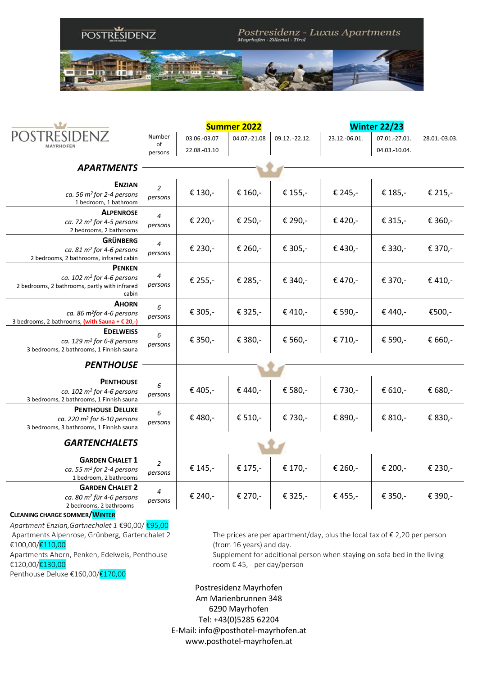

|                                                                         |                                                                                    |              | <b>Summer 2022</b>       | <b>Winter 22/23</b> |               |               |               |  |  |  |
|-------------------------------------------------------------------------|------------------------------------------------------------------------------------|--------------|--------------------------|---------------------|---------------|---------------|---------------|--|--|--|
|                                                                         | Number                                                                             | 03.06.-03.07 | 04.07.-21.08             | 09.12. -22.12.      | 23.12.-06.01. | 07.01.-27.01. | 28.01.-03.03. |  |  |  |
| <b>MAYRHOFEN</b>                                                        | of<br>persons                                                                      | 22.08.-03.10 |                          |                     |               | 04.03.-10.04. |               |  |  |  |
|                                                                         |                                                                                    |              |                          |                     |               |               |               |  |  |  |
| <b>APARTMENTS</b>                                                       |                                                                                    |              |                          |                     |               |               |               |  |  |  |
| <b>ENZIAN</b>                                                           | $\overline{2}$                                                                     |              |                          |                     |               |               |               |  |  |  |
| ca. 56 $m^2$ for 2-4 persons<br>1 bedroom, 1 bathroom                   | persons                                                                            | € 130,-      | € 160,-                  | € 155,-             | € 245,-       | € 185,-       | € 215,-       |  |  |  |
| <b>ALPENROSE</b>                                                        | $\overline{4}$                                                                     |              |                          |                     |               |               |               |  |  |  |
| ca. 72 $m^2$ for 4-5 persons<br>2 bedrooms, 2 bathrooms                 | persons                                                                            | € 220,-      | € 250,-                  | € 290,-             | € 420,-       | € 315,-       | € 360,-       |  |  |  |
| <b>GRÜNBERG</b>                                                         | $\boldsymbol{4}$                                                                   |              |                          |                     |               |               |               |  |  |  |
| ca. 81 $m^2$ for 4-6 persons<br>2 bedrooms, 2 bathrooms, infrared cabin | persons                                                                            | € 230,-      | € 260,-                  | € 305,-             | € 430,-       | € 330,-       | € 370,-       |  |  |  |
| <b>PENKEN</b>                                                           |                                                                                    |              |                          |                     |               |               |               |  |  |  |
| ca. $102 \text{ m}^2$ for 4-6 persons                                   | 4                                                                                  | € 255,-      | € 285,-                  | € 340,-             | € 470,-       | € 370,-       | € 410,-       |  |  |  |
| 2 bedrooms, 2 bathrooms, partly with infrared<br>cabin                  | persons                                                                            |              |                          |                     |               |               |               |  |  |  |
| <b>AHORN</b>                                                            | 6                                                                                  |              |                          |                     |               |               |               |  |  |  |
| ca. 86 m <sup>2</sup> for 4-6 persons                                   | persons                                                                            | € 305,-      | € 325,-                  | € 410,-             | € 590,-       | € 440,-       | €500,-        |  |  |  |
| 3 bedrooms, 2 bathrooms, (with Sauna + € 20,-)<br><b>EDELWEISS</b>      |                                                                                    |              |                          |                     |               |               |               |  |  |  |
| ca. 129 m <sup>2</sup> for 6-8 persons                                  | 6<br>persons                                                                       | € 350,-      | € 380,-                  | € 560,-             | € 710,-       | € 590,-       | € 660,-       |  |  |  |
| 3 bedrooms, 2 bathrooms, 1 Finnish sauna                                |                                                                                    |              |                          |                     |               |               |               |  |  |  |
| <b>PENTHOUSE</b>                                                        |                                                                                    |              |                          |                     |               |               |               |  |  |  |
| <b>PENTHOUSE</b>                                                        |                                                                                    |              |                          |                     |               |               |               |  |  |  |
| ca. $102 \text{ m}^2$ for 4-6 persons                                   | 6<br>persons                                                                       | € 405,-      | € 440,-                  | € 580,-             | € 730,-       | € 610,-       | € 680,-       |  |  |  |
| 3 bedrooms, 2 bathrooms, 1 Finnish sauna<br><b>PENTHOUSE DELUXE</b>     |                                                                                    |              |                          |                     |               |               |               |  |  |  |
| ca. 220 $m^2$ for 6-10 persons                                          | 6                                                                                  | € 480,-      | € 510,-                  | € 730,-             | € 890,-       | € 810,-       | € 830,-       |  |  |  |
| 3 bedrooms, 3 bathrooms, 1 Finnish sauna                                | persons                                                                            |              |                          |                     |               |               |               |  |  |  |
| <b>GARTENCHALETS</b>                                                    |                                                                                    |              |                          |                     |               |               |               |  |  |  |
|                                                                         |                                                                                    |              |                          |                     |               |               |               |  |  |  |
| <b>GARDEN CHALET 1</b><br>ca. 55 $m^2$ for 2-4 persons                  | 2                                                                                  | € 145,-      | € 175,-                  | € 170,-             | € 260,-       | € 200,-       | € 230,-       |  |  |  |
| 1 bedroom, 2 bathrooms                                                  | persons                                                                            |              |                          |                     |               |               |               |  |  |  |
| <b>GARDEN CHALET 2</b>                                                  | 4                                                                                  |              |                          |                     |               |               |               |  |  |  |
| ca. 80 m <sup>2</sup> für 4-6 persons<br>2 bedrooms, 2 bathrooms        | persons                                                                            | € 240,-      | € 270,-                  | € 325,-             | € 455,-       | € 350,-       | € 390,-       |  |  |  |
| CLEANING CHARGE SOMMER/WINTER                                           |                                                                                    |              |                          |                     |               |               |               |  |  |  |
| Apartment Enzian, Gartnechalet 1 €90,00/ €95,00                         |                                                                                    |              |                          |                     |               |               |               |  |  |  |
| Apartments Alpenrose, Grünberg, Gartenchalet 2                          | The prices are per apartment/day, plus the local tax of $\epsilon$ 2,20 per person |              |                          |                     |               |               |               |  |  |  |
| €100,00/€110,00                                                         |                                                                                    |              | (from 16 years) and day. |                     |               |               |               |  |  |  |

Apartments Ahorn, Penken, Edelweis, Penthouse €120,00/€130,00

Penthouse Deluxe €160,00/€170,00

Supplement for additional person when staying on sofa bed in the living room € 45, - per day/person

Postresidenz Mayrhofen Am Marienbrunnen 348 6290 Mayrhofen Tel: +43(0)5285 62204 E-Mail: info@posthotel-mayrhofen.at www.posthotel-mayrhofen.at